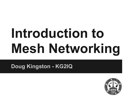# **Introduction to Mesh Networking**

**Doug Kingston - KG2IQ**

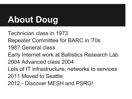### **About Doug**

Technician class in 1973 Repeater Committee for BARC in '70s 198? General class Early Internet work at Ballistics Research Lab 2004 Advanced class 2004 Lots of IT infrastructure, networks to services 2011 Moved to Seattle 2012 - Discover MESH and PSRG!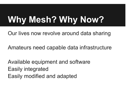# **Why Mesh? Why Now?**

Our lives now revolve around data sharing

Amateurs need capable data infrastructure

Available equipment and software Easily integrated Easily modified and adapted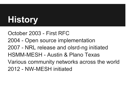# **History**

October 2003 - First RFC 2004 - Open source implementation 2007 - NRL release and olsrd-ng initiated HSMM-MESH - Austin & Plano Texas Various community networks across the world 2012 - NW-MESH initiated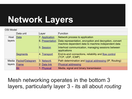### **Network Layers**

| <b>OSI Model</b> |                              |                        |                                                                                                               |  |
|------------------|------------------------------|------------------------|---------------------------------------------------------------------------------------------------------------|--|
|                  | Data unit                    | Layer                  | <b>Function</b>                                                                                               |  |
| Host             | Data                         | 7. Application         | Network process to application                                                                                |  |
| layers           |                              | <b>6. Presentation</b> | Data representation, encryption and decryption, convert<br>machine dependent data to machine independent data |  |
|                  |                              | 5. Session             | Interhost communication, managing sessions between<br>applications                                            |  |
|                  | Segments                     | 4. Transport           | End-to-end connections, reliability and flow control<br>(TCP, UDP, ICMP)                                      |  |
|                  | Media <b>Packet/Datagram</b> | 3. Network             | Path determination and logical addressing (IP, Routing)                                                       |  |
| layers           | Frame                        | 2. Data link           | <b>Physical addressing</b>                                                                                    |  |
|                  | <b>Bit</b>                   | 1. Physical            | Media, signal and binary transmission                                                                         |  |

Mesh networking operates in the bottom 3 layers, particularly layer 3 - its all about *routing*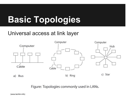# **Basic Topologies**

#### Universal access at link layer



Figure: Topologies commonly used in LANs.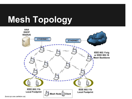# **Mesh Topology**



(kunz-pc.sce.carleton.ca)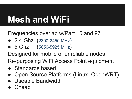### **Mesh and WiFi**

Frequencies overlap w/Part 15 and 97

- 2.4 Ghz (2390-2450 MHz)
- $\bullet$  5 Ghz (5650-5925 MHz)

Designed for mobile or unreliable nodes

Re-purposing WiFi Access Point equipment

- Standards based
- Open Source Platforms (Linux, OpenWRT)
- Useable Bandwidth
- Cheap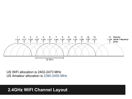

US WiFi allocation is 2402-2473 MHz US Amateur allocation is 2390-2450 MHz

#### **2.4GHz WiFI Channel Layout**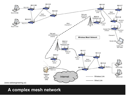

#### **A complex mesh network**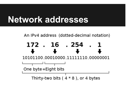#### **Network addresses**

An IPv4 address (dotted-decimal notation)

172.16.254.1 10101100.00010000.11111110.00000001 One byte = Eight bits Thirty-two bits  $(4 * 8)$ , or 4 bytes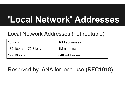#### **'Local Network' Addresses**

#### Local Network Addresses (not routable)

| 10.x.y.z                | 16M addresses |
|-------------------------|---------------|
| 172.16.x.y - 172.31.x.y | 1M addresses  |
| 192.168.x.y             | 64K addresses |

#### Reserved by IANA for local use (RFC1918)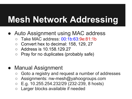#### **Mesh Network Addressing**

- Auto Assignment using MAC address
	- Take MAC address: 00:1b:63:9e:81:1b
	- Convert hex to decimal: 158, 129, 27
	- Address is 10.158.129.27
	- Pray for no duplicates (probably safe)
- Manual Assignment
	- Goto a registry and request a number of addresses
	- Assignments: nw-mesh@yahoogroups.com
	- E.g. 10.255.254.232/29 (232-239, 8 hosts)
	- Larger blocks available if needed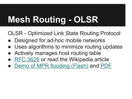# **Mesh Routing - OLSR**

OLSR - Optimized Link State Routing Protocol

- Designed for ad-hoc mobile networks
- Uses algorithms to minimize routing updates
- Actively manages host routing table
- [RFC 3626](http://tools.ietf.org/html/rfc3626) or read the Wikipedia article
- [Demo of MPR flooding \(Flash\)](http://hipercom.inria.fr/olsr/mpr-flooding.html) and [PDF](http://www.olsr.org/docs/wos3-olsr.pdf)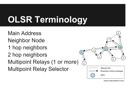### **OLSR Terminology**

Main Address Neighbor Node 1 hop neighbors 2 hop neighbors Multipoint Relays (1 or more) Multipoint Relay Selector



(www.sciencedirect.com)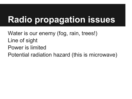### **Radio propagation issues**

Water is our enemy (fog, rain, trees!) Line of sight Power is limited Potential radiation hazard (this is microwave)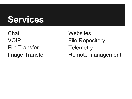#### **Services**

**Chat** VOIP File Transfer Image Transfer

**Websites** File Repository **Telemetry** Remote management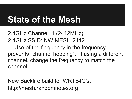#### **State of the Mesh**

2.4GHz Channel: 1 (2412MHz) 2.4GHz SSID: NW-MESH-2412

Use of the frequency in the frequency prevents "channel hopping". If using a different channel, change the frequency to match the channel.

New Backfire build for WRT54G's: http://mesh.randomnotes.org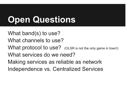### **Open Questions**

What band(s) to use? What channels to use? What protocol to use? (OLSR is not the only game in town!) What services do we need? Making services as reliable as network Independence vs. Centralized Services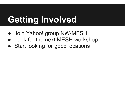# **Getting Involved**

- Join Yahoo! group NW-MESH
- Look for the next MESH workshop
- Start looking for good locations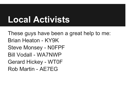#### **Local Activists**

These guys have been a great help to me: Brian Heaton - KY9K Steve Monsey - N0FPF Bill Vodall - WA7NWP Gerard Hickey - WT0F Rob Martin - AE7EG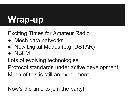# **Wrap-up**

#### Exciting Times for Amateur Radio

- Mesh data networks
- New Digital Modes (e.g. DSTAR)
- NBFM

Lots of evolving technologies

Protocol standards under active development Much of this is still an experiment

Now's the time to join the party!